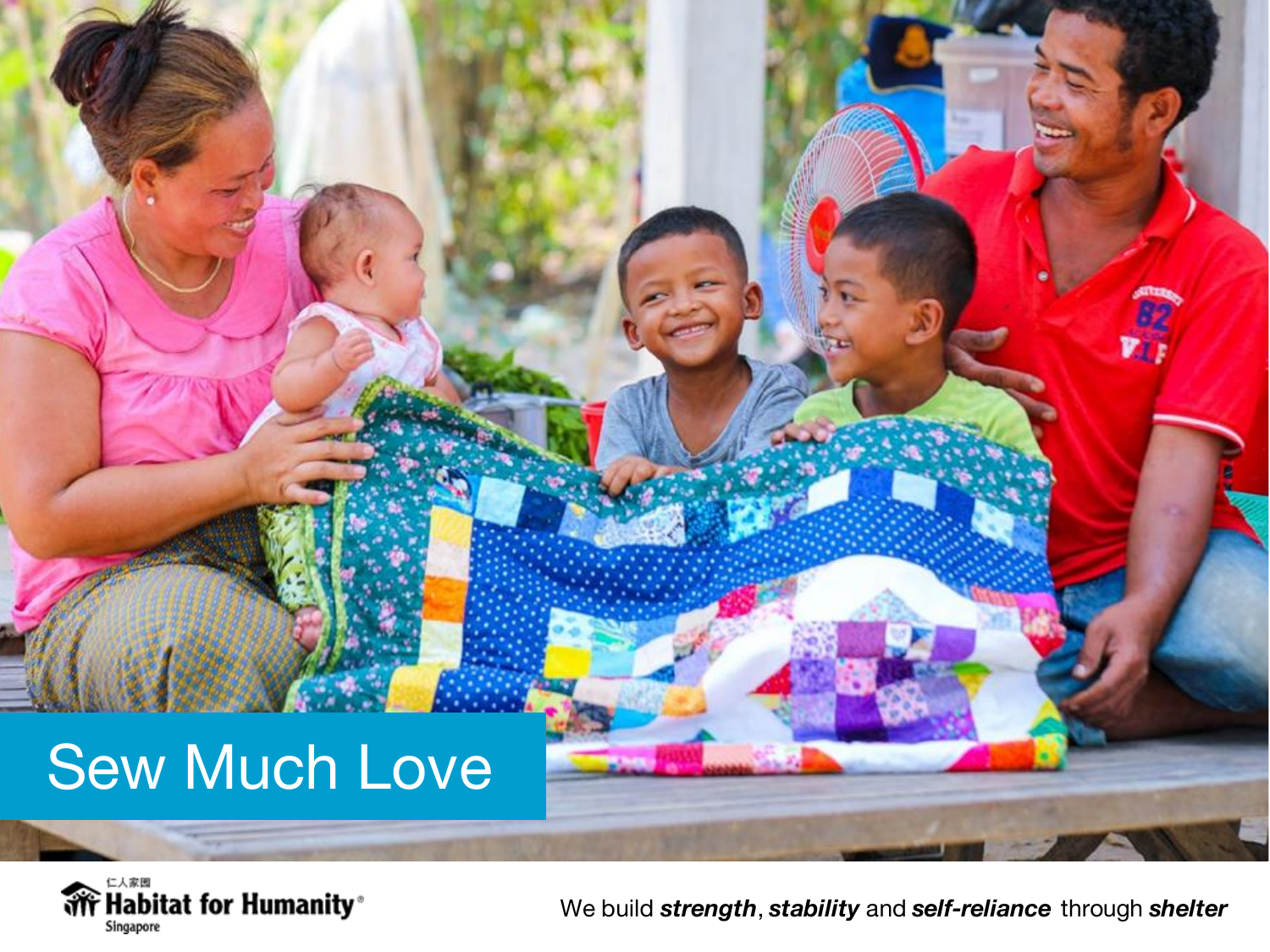# Sew Much Love

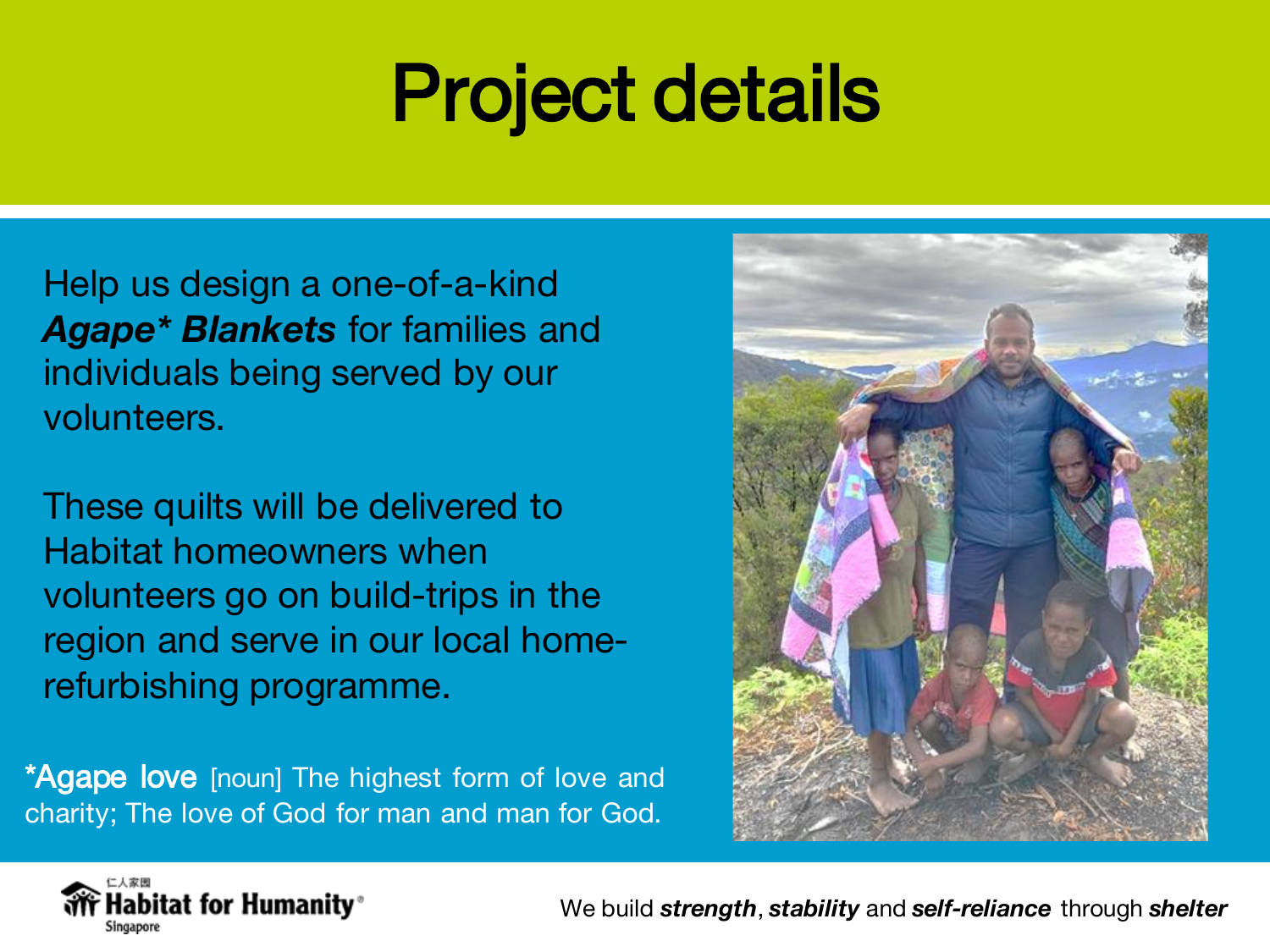# Project details

Help us design a one-of-a-kind *Agape\* Blankets* for families and individuals being served by our volunteers.

These quilts will be delivered to Habitat homeowners when volunteers go on build-trips in the region and serve in our local homerefurbishing programme.

\*Agape love [noun] The highest form of love and charity; The love of God for man and man for God.



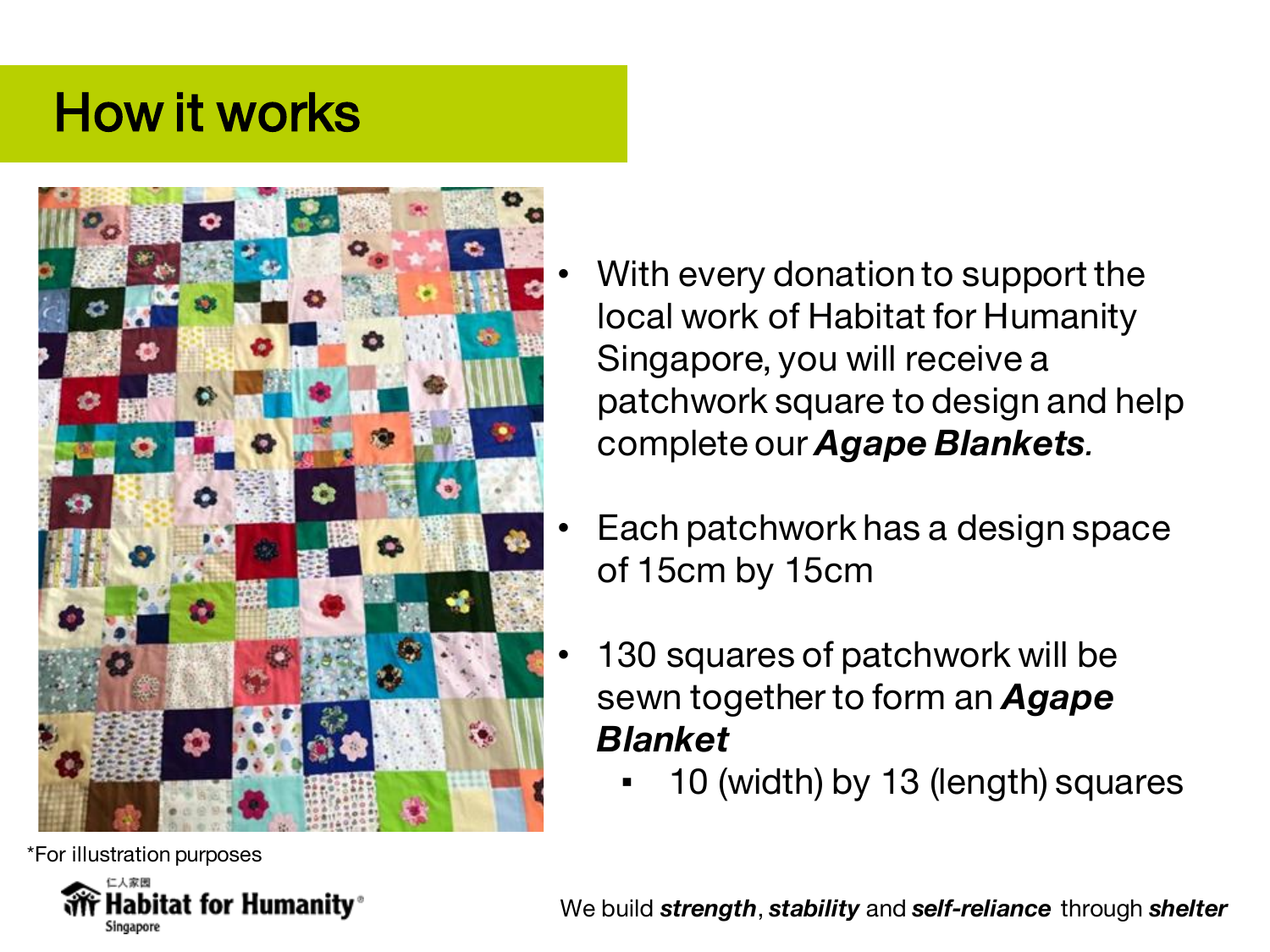#### How it works



\*For illustration purposes



- With every donation to support the local work of Habitat for Humanity Singapore, you will receive a patchwork square to design and help complete our *Agape Blankets.*
- Each patchwork has a design space of 15cm by 15cm
- 130 squares of patchwork will be sewn together to form an *Agape Blanket*
	- 10 (width) by 13 (length) squares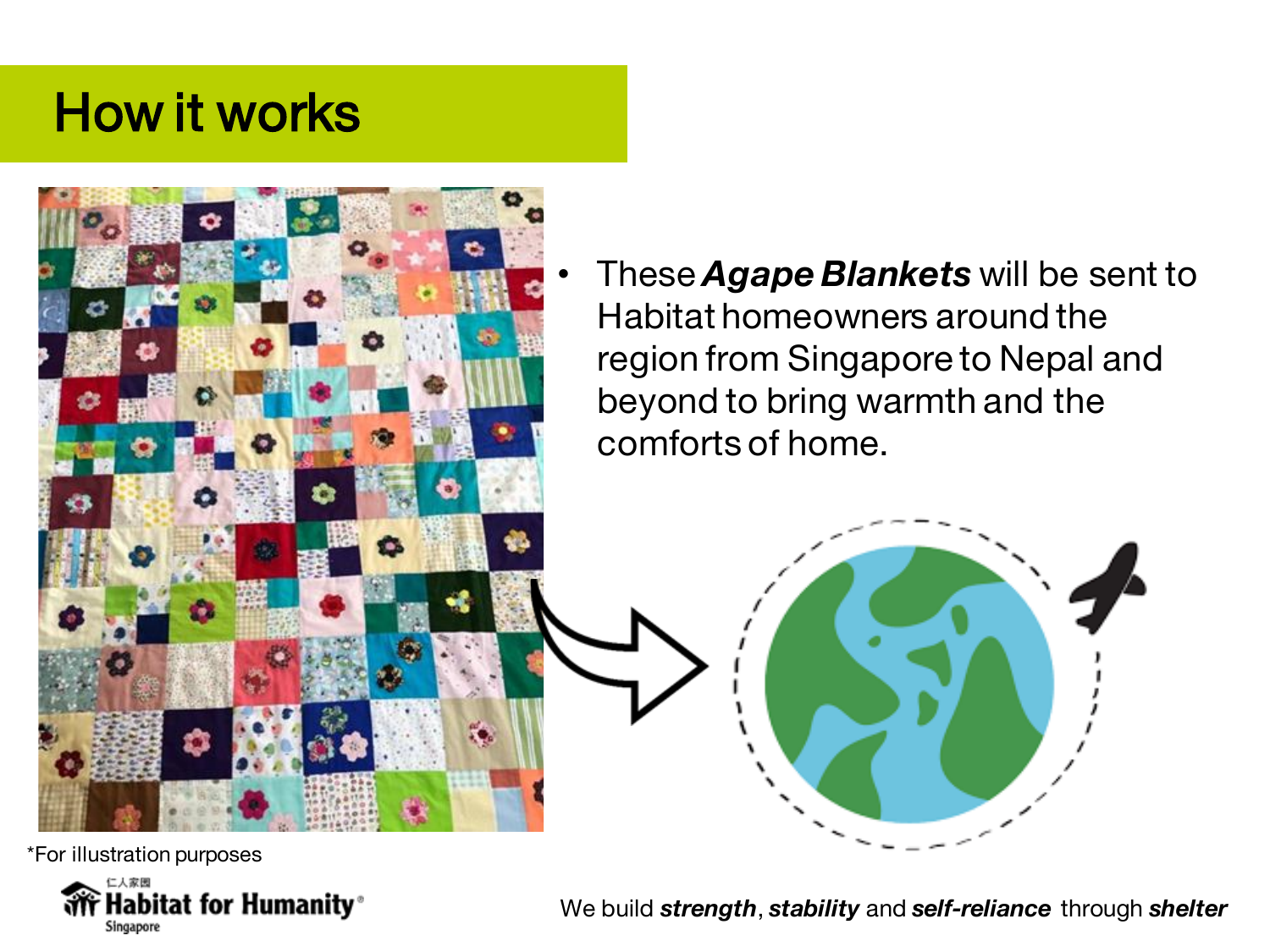#### How it works



• These *Agape Blankets* will be sent to Habitat homeowners around the region from Singapore to Nepal and beyond to bring warmth and the comforts of home.



\*For illustration purposes

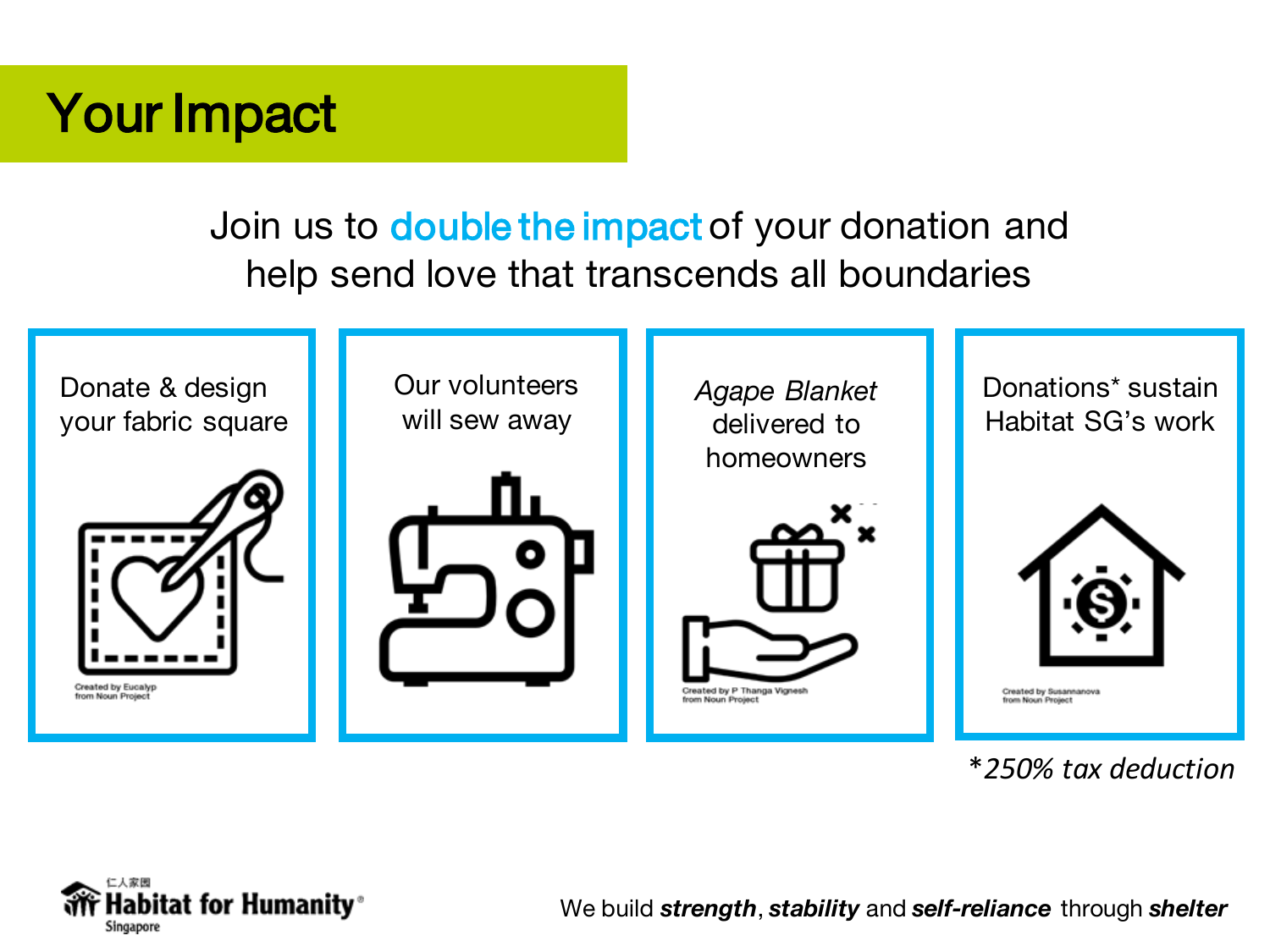#### Your Impact

Join us to **double the impact** of your donation and help send love that transcends all boundaries



\**250% tax deduction*

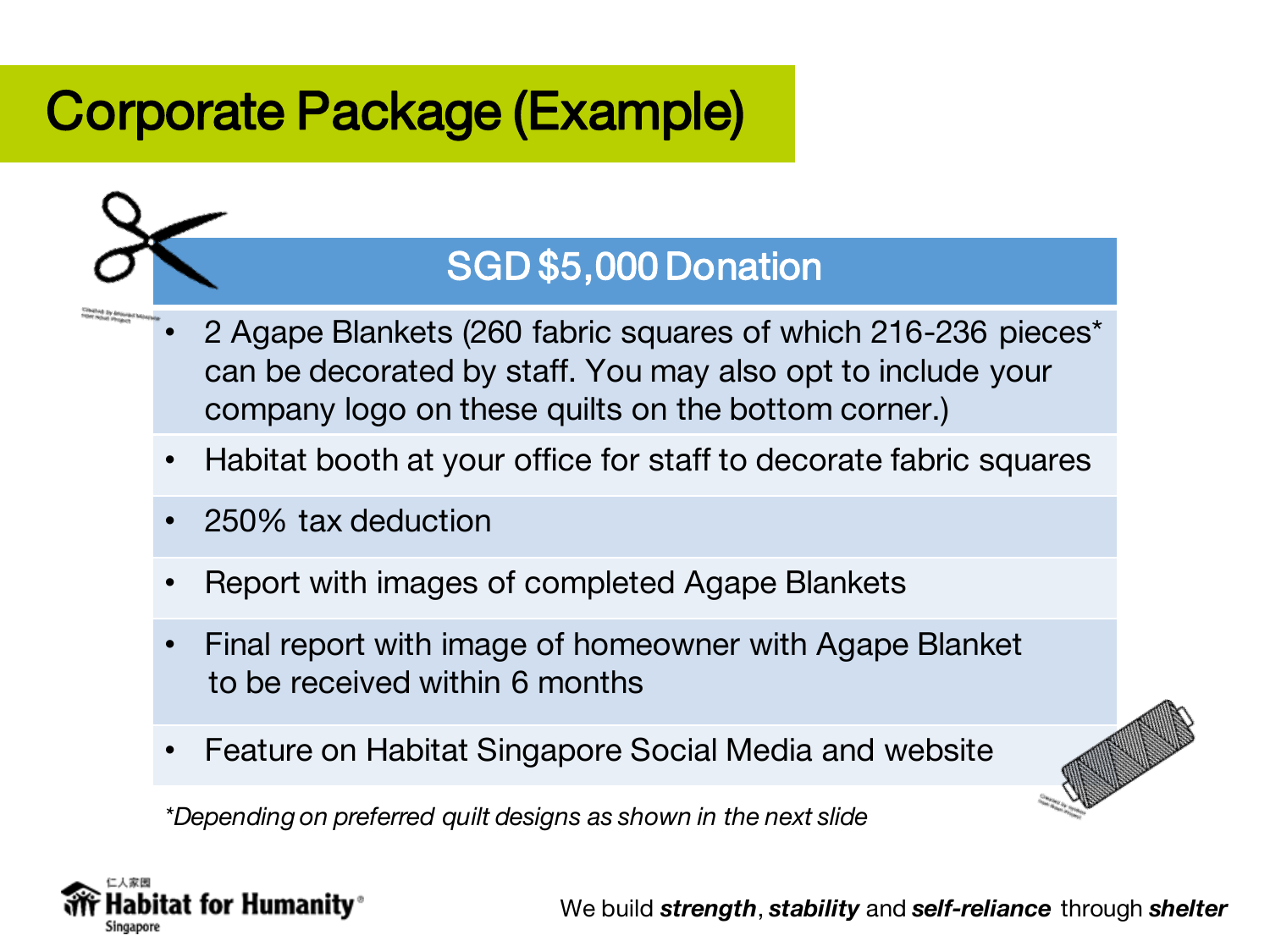#### Corporate Package (Example)



- 2 Agape Blankets (260 fabric squares of which 216-236 pieces\* can be decorated by staff. You may also opt to include your company logo on these quilts on the bottom corner.)
- Habitat booth at your office for staff to decorate fabric squares
- 250% tax deduction
- Report with images of completed Agape Blankets
- Final report with image of homeowner with Agape Blanket to be received within 6 months
- Feature on Habitat Singapore Social Media and website

*\*Depending on preferred quilt designs as shown in the next slide* 

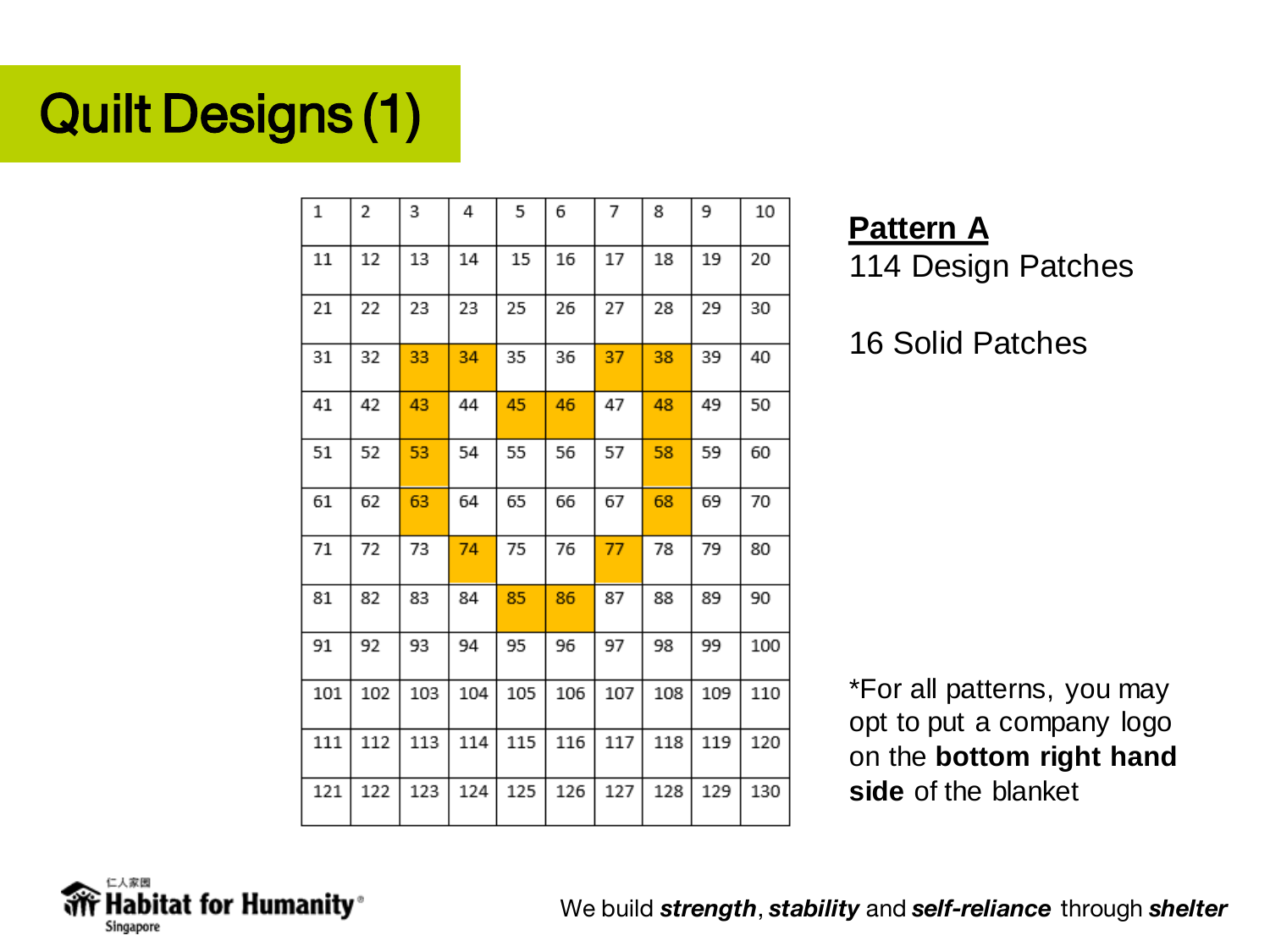## Quilt Designs (1)

| 1   | 2   | 3   | 4   | 5   | 6   | 7   | 8   | 9   | 10  |
|-----|-----|-----|-----|-----|-----|-----|-----|-----|-----|
| 11  | 12  | 13  | 14  | 15  | 16  | 17  | 18  | 19  | 20  |
| 21  | 22  | 23  | 23  | 25  | 26  | 27  | 28  | 29  | 30  |
| 31  | 32  | 33  | 34  | 35  | 36  | 37  | 38  | 39  | 40  |
| 41  | 42  | 43  | 44  | 45  | 46  | 47  | 48  | 49  | 50  |
| 51  | 52  | 53  | 54  | 55  | 56  | 57  | 58  | 59  | 60  |
| 61  | 62  | 63  | 64  | 65  | 66  | 67  | 68  | 69  | 70  |
| 71  | 72  | 73  | 74  | 75  | 76  | 77  | 78  | 79  | 80  |
| 81  | 82  | 83  | 84  | 85  | 86  | 87  | 88  | 89  | 90  |
| 91  | 92  | 93  | 94  | 95  | 96  | 97  | 98  | 99  | 100 |
| 101 | 102 | 103 | 104 | 105 | 106 | 107 | 108 | 109 | 110 |
| 111 | 112 | 113 | 114 | 115 | 116 | 117 | 118 | 119 | 120 |
| 121 | 122 | 123 | 124 | 125 | 126 | 127 | 128 | 129 | 130 |

**Pattern A** 114 Design Patches

16 Solid Patches

\*For all patterns, you may opt to put a company logo on the **bottom right hand side** of the blanket

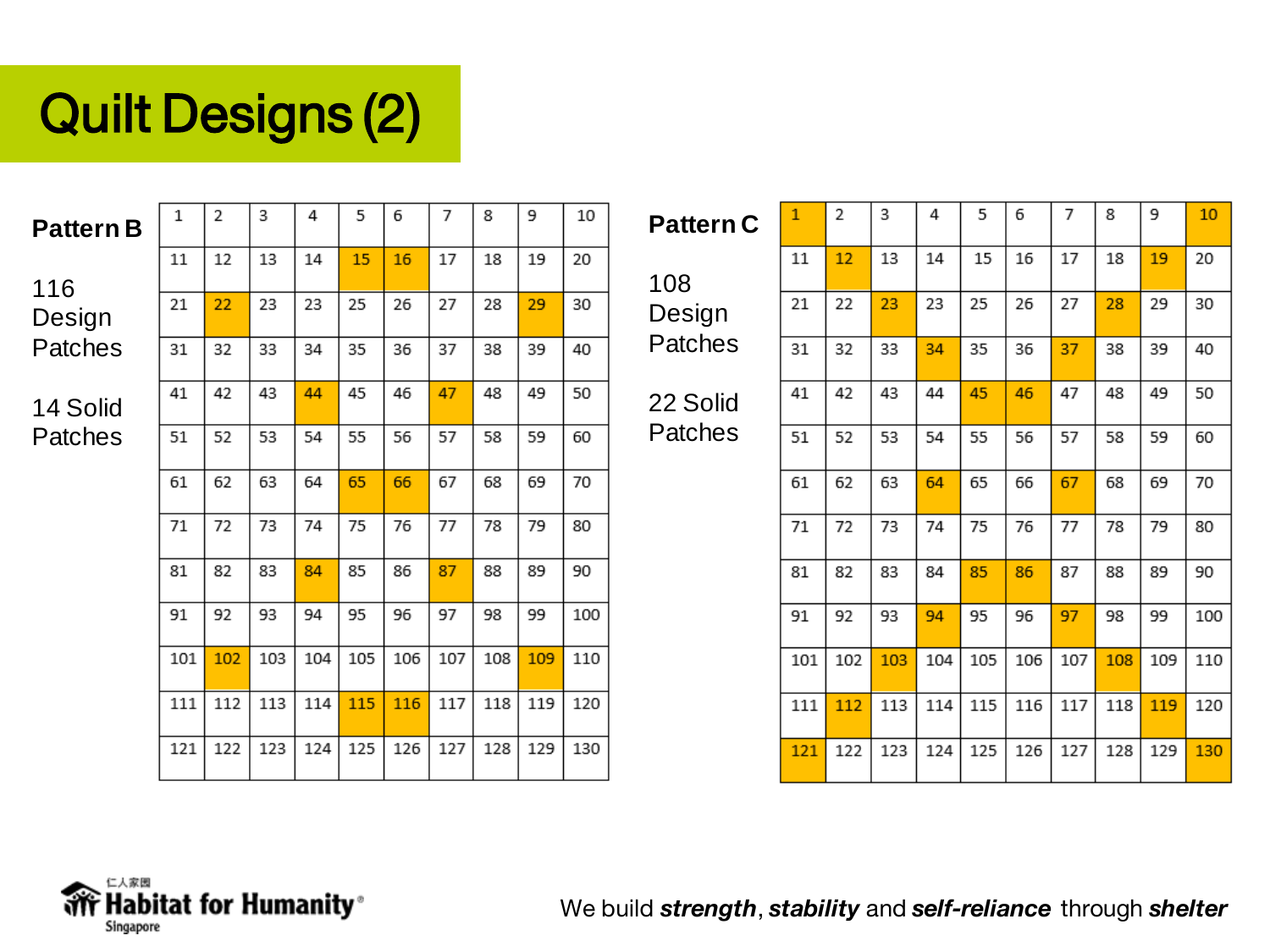### Quilt Designs (2)

| <b>Pattern B</b> | 1   | 2   | 3   | 4   | 5   | 6   | 7   | 8   | 9   | 10  |
|------------------|-----|-----|-----|-----|-----|-----|-----|-----|-----|-----|
| 116              | 11  | 12  | 13  | 14  | 15  | 16  | 17  | 18  | 19  | 20  |
| Design           | 21  | 22  | 23  | 23  | 25  | 26  | 27  | 28  | 29  | 30  |
| Patches          | 31  | 32  | 33  | 34  | 35  | 36  | 37  | 38  | 39  | 40  |
| 14 Solid         | 41  | 42  | 43  | 44  | 45  | 46  | 47  | 48  | 49  | 50  |
| Patches          | 51  | 52  | 53  | 54  | 55  | 56  | 57  | 58  | 59  | 60  |
|                  | 61  | 62  | 63  | 64  | 65  | 66  | 67  | 68  | 69  | 70  |
|                  | 71  | 72  | 73  | 74  | 75  | 76  | 77  | 78  | 79  | 80  |
|                  | 81  | 82  | 83  | 84  | 85  | 86  | 87  | 88  | 89  | 90  |
|                  | 91  | 92  | 93  | 94  | 95  | 96  | 97  | 98  | 99  | 100 |
|                  | 101 | 102 | 103 | 104 | 105 | 106 | 107 | 108 | 109 | 110 |
|                  | 111 | 112 | 113 | 114 | 115 | 116 | 117 | 118 | 119 | 120 |
|                  | 121 | 122 | 123 | 124 | 125 | 126 | 127 | 128 | 129 | 130 |

| <b>Pattern C</b> |    | 2  |
|------------------|----|----|
| 108              | 11 |    |
| Design           | 21 | フフ |
| Patches          | 31 |    |
|                  |    |    |

22 Solid **Patches** 

| $\mathbf{1}$ | 2   | 3   | 4   | 5   | 6   | 7   | 8   | 9   | 10  |
|--------------|-----|-----|-----|-----|-----|-----|-----|-----|-----|
| 11           | 12  | 13  | 14  | 15  | 16  | 17  | 18  | 19  | 20  |
| 21           | 22  | 23  | 23  | 25  | 26  | 27  | 28  | 29  | 30  |
| 31           | 32  | 33  | 34  | 35  | 36  | 37  | 38  | 39  | 40  |
| 41           | 42  | 43  | 44  | 45  | 46  | 47  | 48  | 49  | 50  |
| 51           | 52  | 53  | 54  | 55  | 56  | 57  | 58  | 59  | 60  |
| 61           | 62  | 63  | 64  | 65  | 66  | 67  | 68  | 69  | 70  |
| 71           | 72  | 73  | 74  | 75  | 76  | 77  | 78  | 79  | 80  |
| 81           | 82  | 83  | 84  | 85  | 86  | 87  | 88  | 89  | 90  |
| 91           | 92  | 93  | 94  | 95  | 96  | 97  | 98  | 99  | 100 |
| 101          | 102 | 103 | 104 | 105 | 106 | 107 | 108 | 109 | 110 |
| 111          | 112 | 113 | 114 | 115 | 116 | 117 | 118 | 119 | 120 |
| 121          | 122 | 123 | 124 | 125 | 126 | 127 | 128 | 129 | 130 |

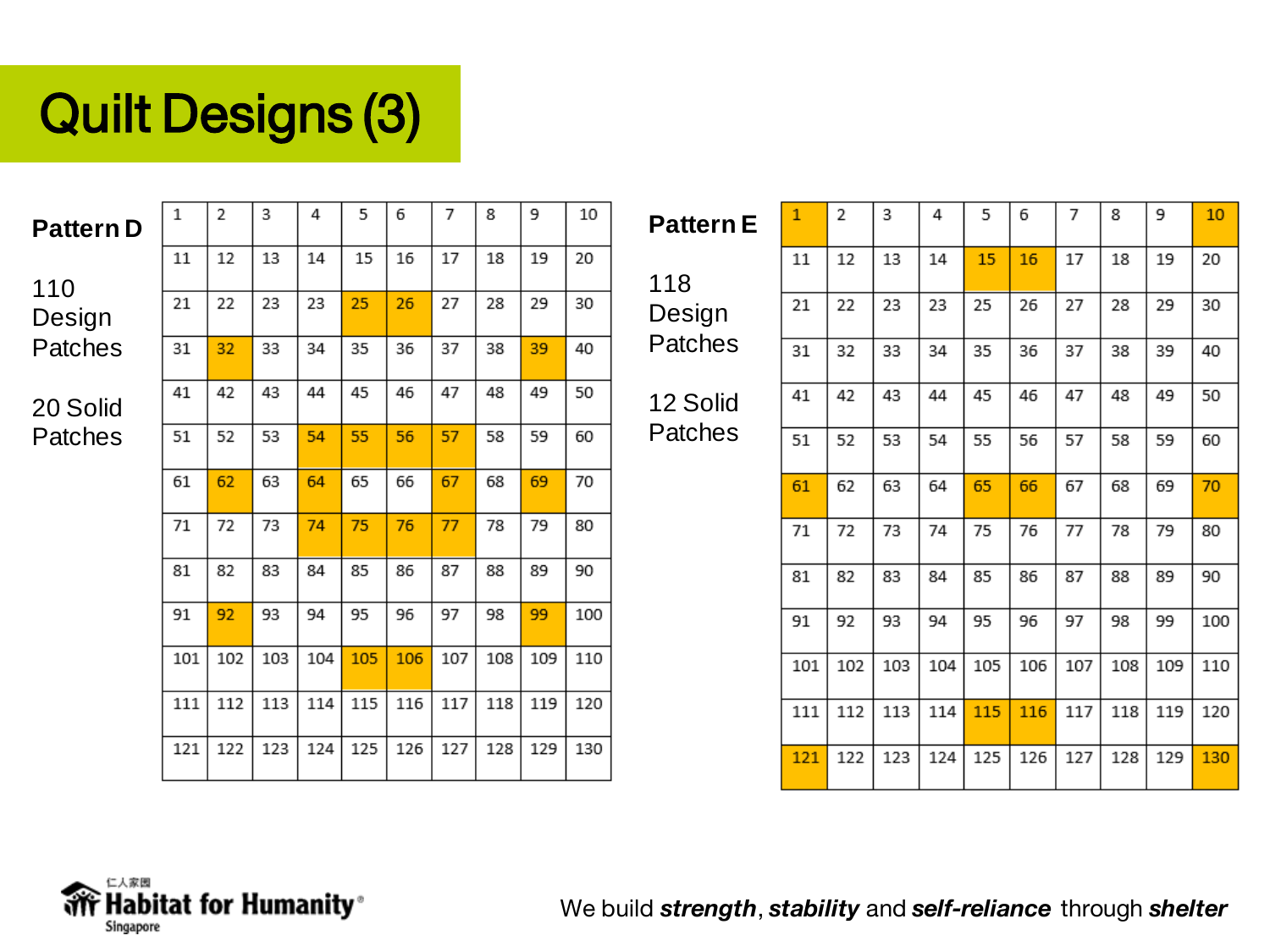### Quilt Designs (3)

 $\,1$ 

| <b>Pattern D</b> |  |
|------------------|--|
|------------------|--|

| 110     |
|---------|
| Design  |
| Patches |

| 20 Solid |  |
|----------|--|
| Patches  |  |

| 31  | 32  | 33  | 34  | 35  | 36  | 37  | 38  | 39  | 40  |
|-----|-----|-----|-----|-----|-----|-----|-----|-----|-----|
| 41  | 42  | 43  | 44  | 45  | 46  | 47  | 48  | 49  | 50  |
| 51  | 52  | 53  | 54  | 55  | 56  | 57  | 58  | 59  | 60  |
| 61  | 62  | 63  | 64  | 65  | 66  | 67  | 68  | 69  | 70  |
| 71  | 72  | 73  | 74  | 75  | 76  | 77  | 78  | 79  | 80  |
| 81  | 82  | 83  | 84  | 85  | 86  | 87  | 88  | 89  | 90  |
| 91  | 92  | 93  | 94  | 95  | 96  | 97  | 98  | 99  | 100 |
| 101 | 102 | 103 | 104 | 105 | 106 | 107 | 108 | 109 | 110 |
| 111 | 112 | 113 | 114 | 115 | 116 | 117 | 118 | 119 | 120 |
| 121 | 122 | 123 | 124 | 125 | 126 | 127 | 128 | 129 | 130 |

| <b>Pattern E</b> |  |
|------------------|--|
| 118              |  |

 $\overline{2}$ 

Design **Patches** 

12 Solid Patches

| 11  | 12  | 13  | 14  | 15  | 16  | 17  | 18  | 19  | 20  |
|-----|-----|-----|-----|-----|-----|-----|-----|-----|-----|
| 21  | 22  | 23  | 23  | 25  | 26  | 27  | 28  | 29  | 30  |
| 31  | 32  | 33  | 34  | 35  | 36  | 37  | 38  | 39  | 40  |
| 41  | 42  | 43  | 44  | 45  | 46  | 47  | 48  | 49  | 50  |
| 51  | 52  | 53  | 54  | 55  | 56  | 57  | 58  | 59  | 60  |
| 61  | 62  | 63  | 64  | 65  | 66  | 67  | 68  | 69  | 70  |
| 71  | 72  | 73  | 74  | 75  | 76  | 77  | 78  | 79  | 80  |
| 81  | 82  | 83  | 84  | 85  | 86  | 87  | 88  | 89  | 90  |
| 91  | 92  | 93  | 94  | 95  | 96  | 97  | 98  | 99  | 100 |
| 101 | 102 | 103 | 104 | 105 | 106 | 107 | 108 | 109 | 110 |
| 111 | 112 | 113 | 114 | 115 | 116 | 117 | 118 | 119 | 120 |
| 121 | 122 | 123 | 124 | 125 | 126 | 127 | 128 | 129 | 130 |
|     |     |     |     |     |     |     |     |     |     |

 $\overline{9}$ 

 $\overline{7}$